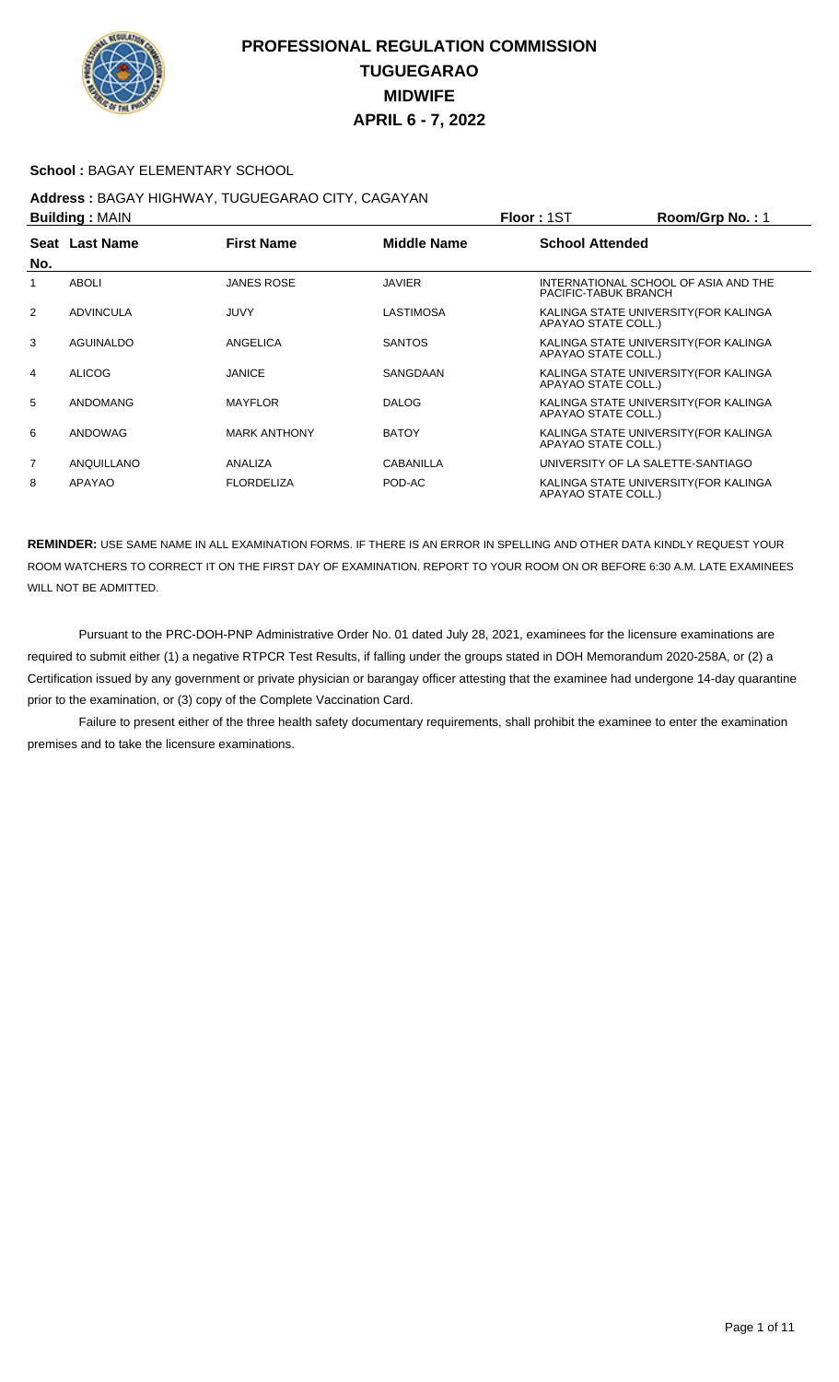

### **School :** BAGAY ELEMENTARY SCHOOL

### **Address :** BAGAY HIGHWAY, TUGUEGARAO CITY, CAGAYAN **Building :** MAIN **Floor :** 1ST **Room/Grp No. :** 1

| <b>DURING A MILITY</b><br>.<br>י טוויש <i>ווייטע</i> ווי |                  |                     |                    |                                                              |
|----------------------------------------------------------|------------------|---------------------|--------------------|--------------------------------------------------------------|
| No.                                                      | Seat Last Name   | <b>First Name</b>   | <b>Middle Name</b> | <b>School Attended</b>                                       |
|                                                          | <b>ABOLI</b>     | <b>JANES ROSE</b>   | <b>JAVIER</b>      | INTERNATIONAL SCHOOL OF ASIA AND THE<br>PACIFIC-TABUK BRANCH |
| 2                                                        | <b>ADVINCULA</b> | JUVY                | <b>LASTIMOSA</b>   | KALINGA STATE UNIVERSITY (FOR KALINGA<br>APAYAO STATE COLL.) |
| 3                                                        | AGUINALDO        | ANGELICA            | <b>SANTOS</b>      | KALINGA STATE UNIVERSITY (FOR KALINGA<br>APAYAO STATE COLL.) |
| 4                                                        | <b>ALICOG</b>    | <b>JANICE</b>       | SANGDAAN           | KALINGA STATE UNIVERSITY (FOR KALINGA<br>APAYAO STATE COLL.) |
| 5                                                        | ANDOMANG         | <b>MAYFLOR</b>      | <b>DALOG</b>       | KALINGA STATE UNIVERSITY (FOR KALINGA<br>APAYAO STATE COLL.) |
| 6                                                        | ANDOWAG          | <b>MARK ANTHONY</b> | <b>BATOY</b>       | KALINGA STATE UNIVERSITY (FOR KALINGA<br>APAYAO STATE COLL.) |
| $\overline{7}$                                           | ANQUILLANO       | ANALIZA             | CABANILLA          | UNIVERSITY OF LA SALETTE-SANTIAGO                            |
| 8                                                        | APAYAO           | <b>FLORDELIZA</b>   | POD-AC             | KALINGA STATE UNIVERSITY (FOR KALINGA<br>APAYAO STATE COLL.) |

**REMINDER:** USE SAME NAME IN ALL EXAMINATION FORMS. IF THERE IS AN ERROR IN SPELLING AND OTHER DATA KINDLY REQUEST YOUR ROOM WATCHERS TO CORRECT IT ON THE FIRST DAY OF EXAMINATION. REPORT TO YOUR ROOM ON OR BEFORE 6:30 A.M. LATE EXAMINEES WILL NOT BE ADMITTED.

 Pursuant to the PRC-DOH-PNP Administrative Order No. 01 dated July 28, 2021, examinees for the licensure examinations are required to submit either (1) a negative RTPCR Test Results, if falling under the groups stated in DOH Memorandum 2020-258A, or (2) a Certification issued by any government or private physician or barangay officer attesting that the examinee had undergone 14-day quarantine prior to the examination, or (3) copy of the Complete Vaccination Card.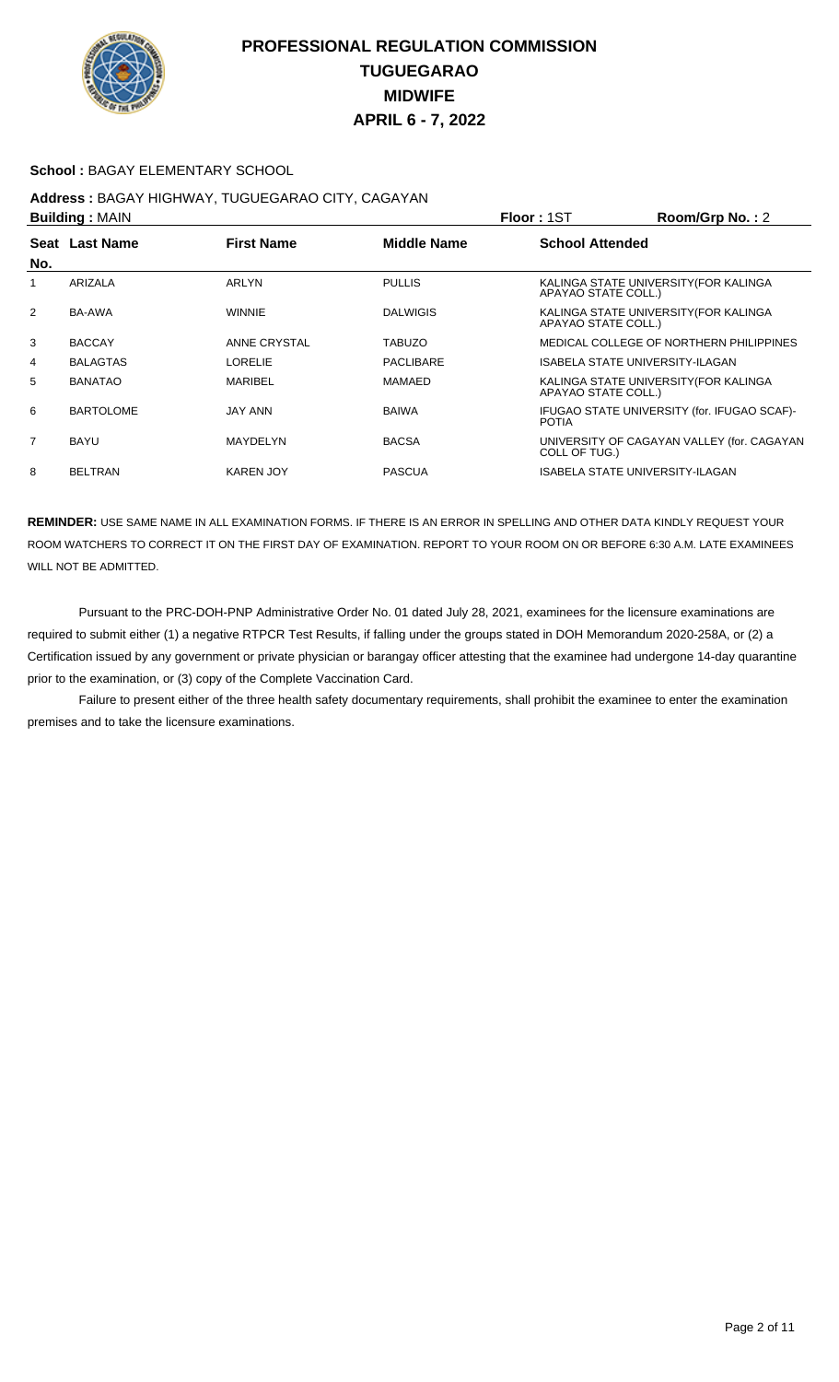

#### **School :** BAGAY ELEMENTARY SCHOOL

# **Address :** BAGAY HIGHWAY, TUGUEGARAO CITY, CAGAYAN

|                | <b>Building: MAIN</b> |                   |                    | Floor: 1ST                                                   | Room/Grp No.: 2                             |
|----------------|-----------------------|-------------------|--------------------|--------------------------------------------------------------|---------------------------------------------|
| No.            | Seat Last Name        | <b>First Name</b> | <b>Middle Name</b> | <b>School Attended</b>                                       |                                             |
|                | ARIZALA               | ARLYN             | <b>PULLIS</b>      | KALINGA STATE UNIVERSITY (FOR KALINGA<br>APAYAO STATE COLL.) |                                             |
| 2              | BA-AWA                | <b>WINNIE</b>     | <b>DALWIGIS</b>    | KALINGA STATE UNIVERSITY (FOR KALINGA<br>APAYAO STATE COLL.) |                                             |
| 3              | <b>BACCAY</b>         | ANNE CRYSTAL      | <b>TABUZO</b>      |                                                              | MEDICAL COLLEGE OF NORTHERN PHILIPPINES     |
| 4              | <b>BALAGTAS</b>       | <b>LORELIE</b>    | PACLIBARE          | <b>ISABELA STATE UNIVERSITY-ILAGAN</b>                       |                                             |
| 5              | <b>BANATAO</b>        | <b>MARIBEL</b>    | MAMAED             | KALINGA STATE UNIVERSITY (FOR KALINGA<br>APAYAO STATE COLL.) |                                             |
| 6              | <b>BARTOLOME</b>      | <b>JAY ANN</b>    | <b>BAIWA</b>       | <b>POTIA</b>                                                 | IFUGAO STATE UNIVERSITY (for. IFUGAO SCAF)- |
| $\overline{7}$ | <b>BAYU</b>           | MAYDELYN          | <b>BACSA</b>       | COLL OF TUG.)                                                | UNIVERSITY OF CAGAYAN VALLEY (for. CAGAYAN  |
| 8              | <b>BELTRAN</b>        | <b>KAREN JOY</b>  | <b>PASCUA</b>      | <b>ISABELA STATE UNIVERSITY-ILAGAN</b>                       |                                             |

**REMINDER:** USE SAME NAME IN ALL EXAMINATION FORMS. IF THERE IS AN ERROR IN SPELLING AND OTHER DATA KINDLY REQUEST YOUR ROOM WATCHERS TO CORRECT IT ON THE FIRST DAY OF EXAMINATION. REPORT TO YOUR ROOM ON OR BEFORE 6:30 A.M. LATE EXAMINEES WILL NOT BE ADMITTED.

 Pursuant to the PRC-DOH-PNP Administrative Order No. 01 dated July 28, 2021, examinees for the licensure examinations are required to submit either (1) a negative RTPCR Test Results, if falling under the groups stated in DOH Memorandum 2020-258A, or (2) a Certification issued by any government or private physician or barangay officer attesting that the examinee had undergone 14-day quarantine prior to the examination, or (3) copy of the Complete Vaccination Card.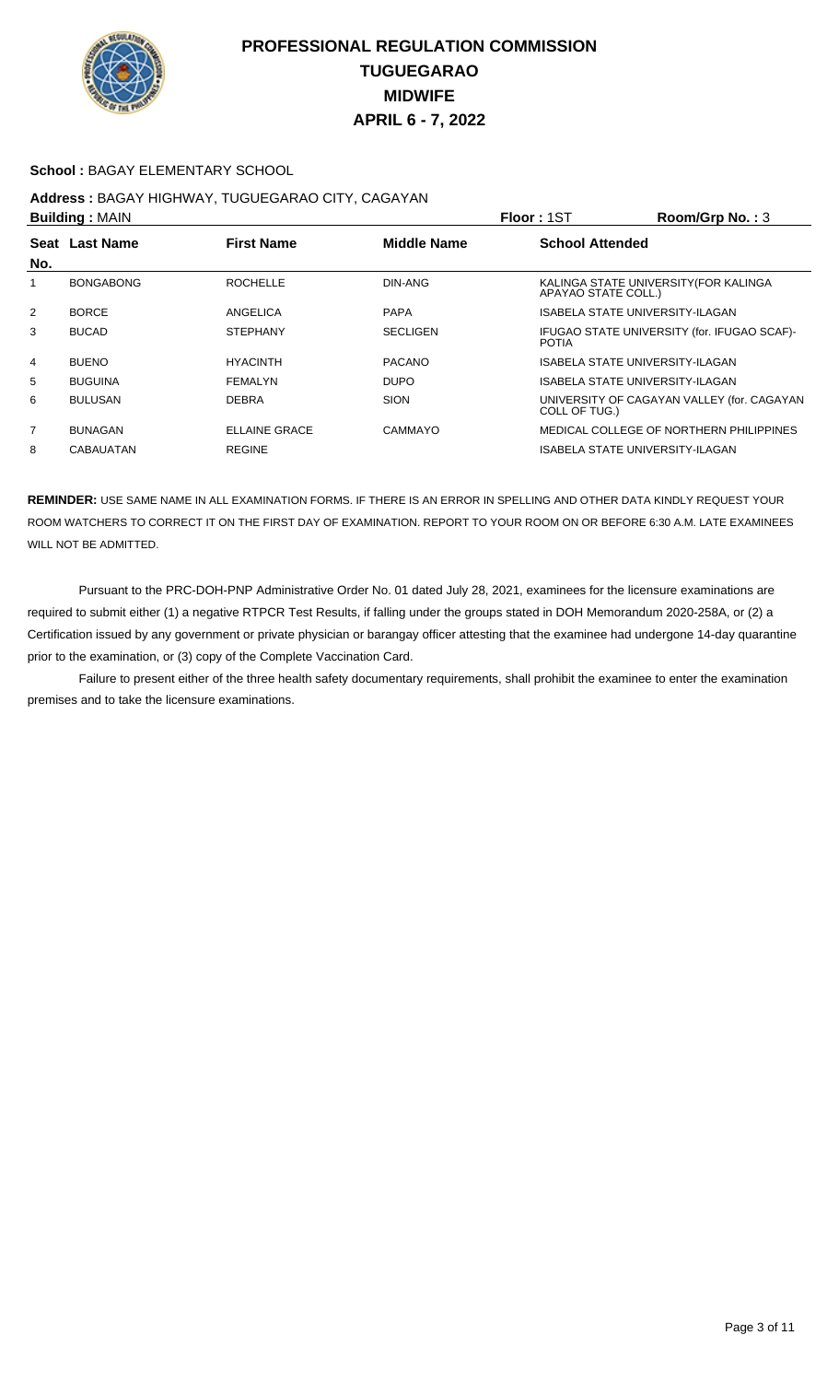

### **School :** BAGAY ELEMENTARY SCHOOL

# **Address :** BAGAY HIGHWAY, TUGUEGARAO CITY, CAGAYAN

|                | <b>Building: MAIN</b>                                     |                      |                        | Room/Grp No.: 3<br><b>Floor: 1ST</b>                         |
|----------------|-----------------------------------------------------------|----------------------|------------------------|--------------------------------------------------------------|
|                | Seat Last Name<br><b>First Name</b><br><b>Middle Name</b> |                      | <b>School Attended</b> |                                                              |
| No.            |                                                           |                      |                        |                                                              |
|                | <b>BONGABONG</b>                                          | <b>ROCHELLE</b>      | DIN-ANG                | KALINGA STATE UNIVERSITY (FOR KALINGA<br>APAYAO STATE COLL.) |
| $\overline{2}$ | <b>BORCE</b>                                              | ANGELICA             | <b>PAPA</b>            | ISABELA STATE UNIVERSITY-ILAGAN                              |
| 3              | <b>BUCAD</b>                                              | <b>STEPHANY</b>      | <b>SECLIGEN</b>        | IFUGAO STATE UNIVERSITY (for. IFUGAO SCAF)-<br><b>POTIA</b>  |
| 4              | <b>BUENO</b>                                              | <b>HYACINTH</b>      | <b>PACANO</b>          | ISABELA STATE UNIVERSITY-ILAGAN                              |
| 5              | <b>BUGUINA</b>                                            | <b>FEMALYN</b>       | <b>DUPO</b>            | ISABELA STATE UNIVERSITY-ILAGAN                              |
| 6              | <b>BULUSAN</b>                                            | <b>DEBRA</b>         | <b>SION</b>            | UNIVERSITY OF CAGAYAN VALLEY (for. CAGAYAN<br>COLL OF TUG.)  |
| $\overline{7}$ | <b>BUNAGAN</b>                                            | <b>ELLAINE GRACE</b> | CAMMAYO                | MEDICAL COLLEGE OF NORTHERN PHILIPPINES                      |
| 8              | <b>CABAUATAN</b>                                          | <b>REGINE</b>        |                        | ISABELA STATE UNIVERSITY-ILAGAN                              |

**REMINDER:** USE SAME NAME IN ALL EXAMINATION FORMS. IF THERE IS AN ERROR IN SPELLING AND OTHER DATA KINDLY REQUEST YOUR ROOM WATCHERS TO CORRECT IT ON THE FIRST DAY OF EXAMINATION. REPORT TO YOUR ROOM ON OR BEFORE 6:30 A.M. LATE EXAMINEES WILL NOT BE ADMITTED.

 Pursuant to the PRC-DOH-PNP Administrative Order No. 01 dated July 28, 2021, examinees for the licensure examinations are required to submit either (1) a negative RTPCR Test Results, if falling under the groups stated in DOH Memorandum 2020-258A, or (2) a Certification issued by any government or private physician or barangay officer attesting that the examinee had undergone 14-day quarantine prior to the examination, or (3) copy of the Complete Vaccination Card.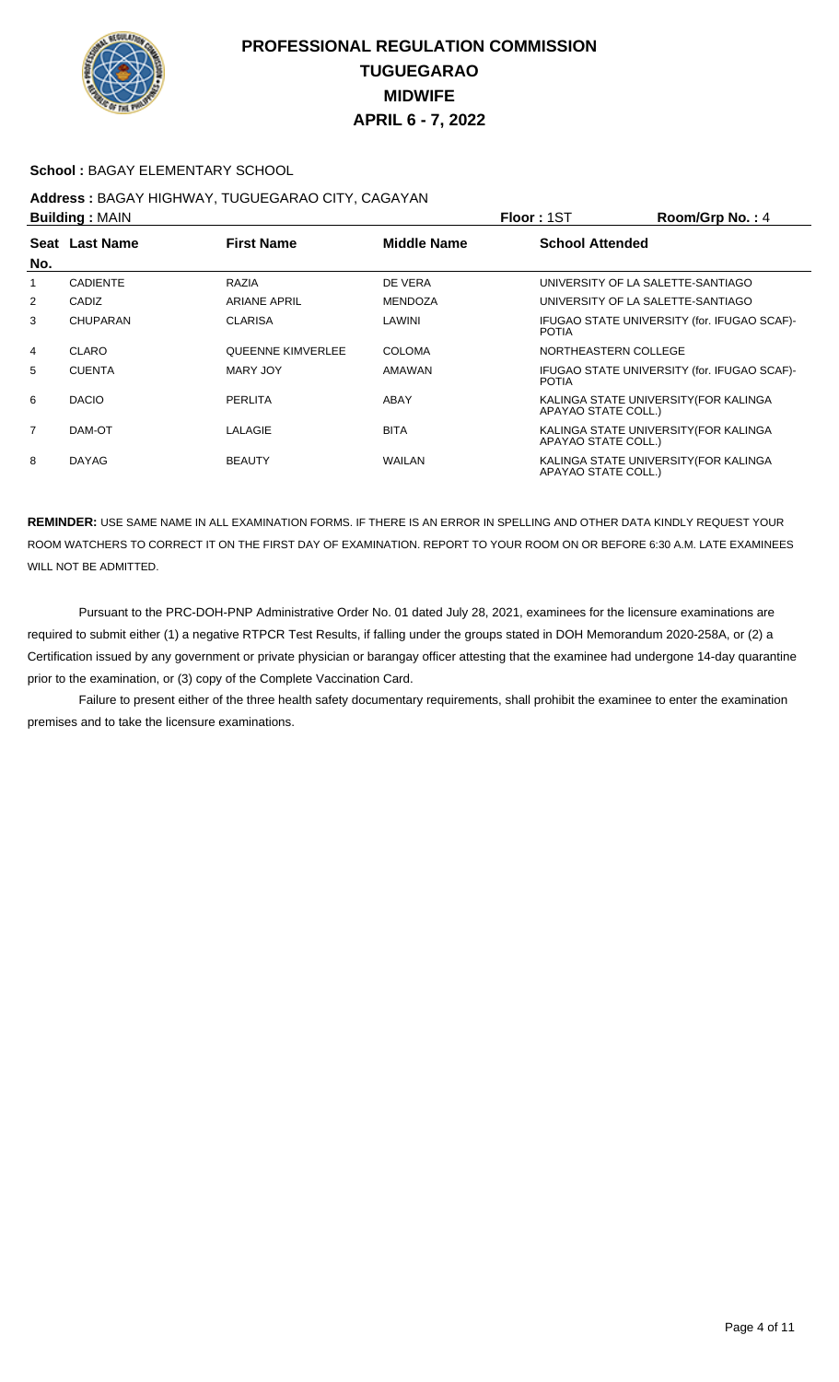

### **School :** BAGAY ELEMENTARY SCHOOL

# **Address :** BAGAY HIGHWAY, TUGUEGARAO CITY, CAGAYAN

|                | <b>Building: MAIN</b>                                     |                          |                        | Floor: 1ST           | Room/Grp No.: 4                             |
|----------------|-----------------------------------------------------------|--------------------------|------------------------|----------------------|---------------------------------------------|
|                | <b>Middle Name</b><br>Seat Last Name<br><b>First Name</b> |                          | <b>School Attended</b> |                      |                                             |
| No.            |                                                           |                          |                        |                      |                                             |
|                | <b>CADIENTE</b>                                           | RAZIA                    | DE VERA                |                      | UNIVERSITY OF LA SALETTE-SANTIAGO           |
| 2              | CADIZ                                                     | <b>ARIANE APRIL</b>      | <b>MENDOZA</b>         |                      | UNIVERSITY OF LA SALETTE-SANTIAGO           |
| 3              | CHUPARAN                                                  | <b>CLARISA</b>           | LAWINI                 | <b>POTIA</b>         | IFUGAO STATE UNIVERSITY (for. IFUGAO SCAF)- |
| 4              | <b>CLARO</b>                                              | <b>QUEENNE KIMVERLEE</b> | <b>COLOMA</b>          | NORTHEASTERN COLLEGE |                                             |
| 5              | <b>CUENTA</b>                                             | MARY JOY                 | AMAWAN                 | <b>POTIA</b>         | IFUGAO STATE UNIVERSITY (for. IFUGAO SCAF)- |
| 6              | <b>DACIO</b>                                              | PERLITA                  | ABAY                   | APAYAO STATE COLL.)  | KALINGA STATE UNIVERSITY (FOR KALINGA       |
| $\overline{7}$ | DAM-OT                                                    | LALAGIE                  | <b>BITA</b>            | APAYAO STATE COLL.)  | KALINGA STATE UNIVERSITY (FOR KALINGA       |
| 8              | <b>DAYAG</b>                                              | <b>BEAUTY</b>            | <b>WAILAN</b>          | APAYAO STATE COLL.)  | KALINGA STATE UNIVERSITY(FOR KALINGA        |

**REMINDER:** USE SAME NAME IN ALL EXAMINATION FORMS. IF THERE IS AN ERROR IN SPELLING AND OTHER DATA KINDLY REQUEST YOUR ROOM WATCHERS TO CORRECT IT ON THE FIRST DAY OF EXAMINATION. REPORT TO YOUR ROOM ON OR BEFORE 6:30 A.M. LATE EXAMINEES WILL NOT BE ADMITTED.

 Pursuant to the PRC-DOH-PNP Administrative Order No. 01 dated July 28, 2021, examinees for the licensure examinations are required to submit either (1) a negative RTPCR Test Results, if falling under the groups stated in DOH Memorandum 2020-258A, or (2) a Certification issued by any government or private physician or barangay officer attesting that the examinee had undergone 14-day quarantine prior to the examination, or (3) copy of the Complete Vaccination Card.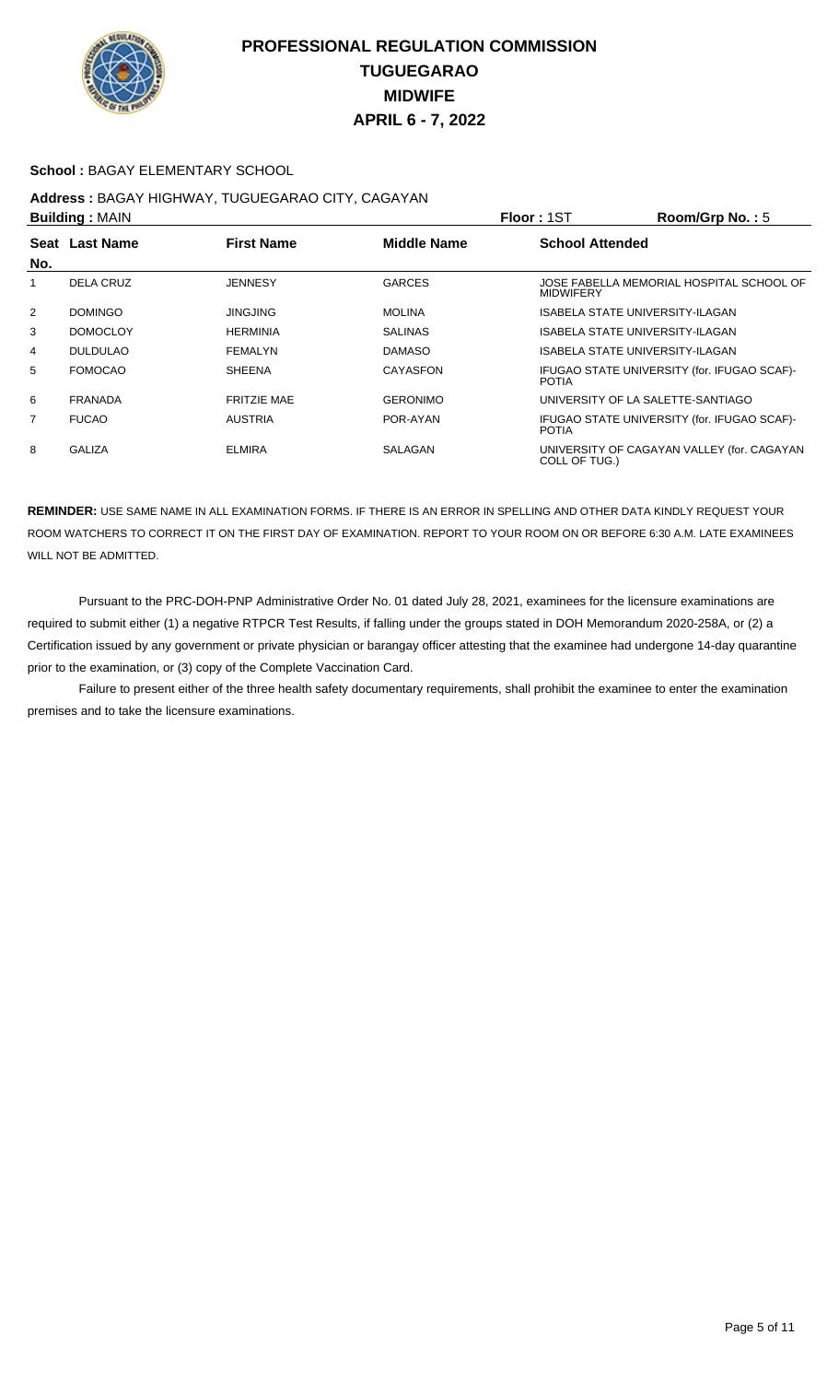

### **School :** BAGAY ELEMENTARY SCHOOL

## **Address :** BAGAY HIGHWAY, TUGUEGARAO CITY, CAGAYAN

|                | <b>Building: MAIN</b>                                     |                    |                 | Floor: 1ST             | Room/Grp No.: 5                             |
|----------------|-----------------------------------------------------------|--------------------|-----------------|------------------------|---------------------------------------------|
|                | <b>First Name</b><br><b>Middle Name</b><br>Seat Last Name |                    |                 | <b>School Attended</b> |                                             |
| No.            |                                                           |                    |                 |                        |                                             |
|                | <b>DELA CRUZ</b>                                          | <b>JENNESY</b>     | <b>GARCES</b>   | <b>MIDWIFERY</b>       | JOSE FABELLA MEMORIAL HOSPITAL SCHOOL OF    |
| $\overline{2}$ | <b>DOMINGO</b>                                            | <b>JINGJING</b>    | <b>MOLINA</b>   |                        | ISABELA STATE UNIVERSITY-ILAGAN             |
| 3              | <b>DOMOCLOY</b>                                           | <b>HERMINIA</b>    | <b>SALINAS</b>  |                        | <b>ISABELA STATE UNIVERSITY-ILAGAN</b>      |
| 4              | <b>DULDULAO</b>                                           | FEMALYN            | <b>DAMASO</b>   |                        | ISABELA STATE UNIVERSITY-ILAGAN             |
| 5              | <b>FOMOCAO</b>                                            | <b>SHEENA</b>      | CAYASFON        | <b>POTIA</b>           | IFUGAO STATE UNIVERSITY (for. IFUGAO SCAF)- |
| 6              | <b>FRANADA</b>                                            | <b>FRITZIE MAE</b> | <b>GERONIMO</b> |                        | UNIVERSITY OF LA SALETTE-SANTIAGO           |
| 7              | <b>FUCAO</b>                                              | <b>AUSTRIA</b>     | POR-AYAN        | <b>POTIA</b>           | IFUGAO STATE UNIVERSITY (for. IFUGAO SCAF)- |
| 8              | <b>GALIZA</b>                                             | <b>ELMIRA</b>      | SALAGAN         | COLL OF TUG.)          | UNIVERSITY OF CAGAYAN VALLEY (for. CAGAYAN  |

**REMINDER:** USE SAME NAME IN ALL EXAMINATION FORMS. IF THERE IS AN ERROR IN SPELLING AND OTHER DATA KINDLY REQUEST YOUR ROOM WATCHERS TO CORRECT IT ON THE FIRST DAY OF EXAMINATION. REPORT TO YOUR ROOM ON OR BEFORE 6:30 A.M. LATE EXAMINEES WILL NOT BE ADMITTED.

 Pursuant to the PRC-DOH-PNP Administrative Order No. 01 dated July 28, 2021, examinees for the licensure examinations are required to submit either (1) a negative RTPCR Test Results, if falling under the groups stated in DOH Memorandum 2020-258A, or (2) a Certification issued by any government or private physician or barangay officer attesting that the examinee had undergone 14-day quarantine prior to the examination, or (3) copy of the Complete Vaccination Card.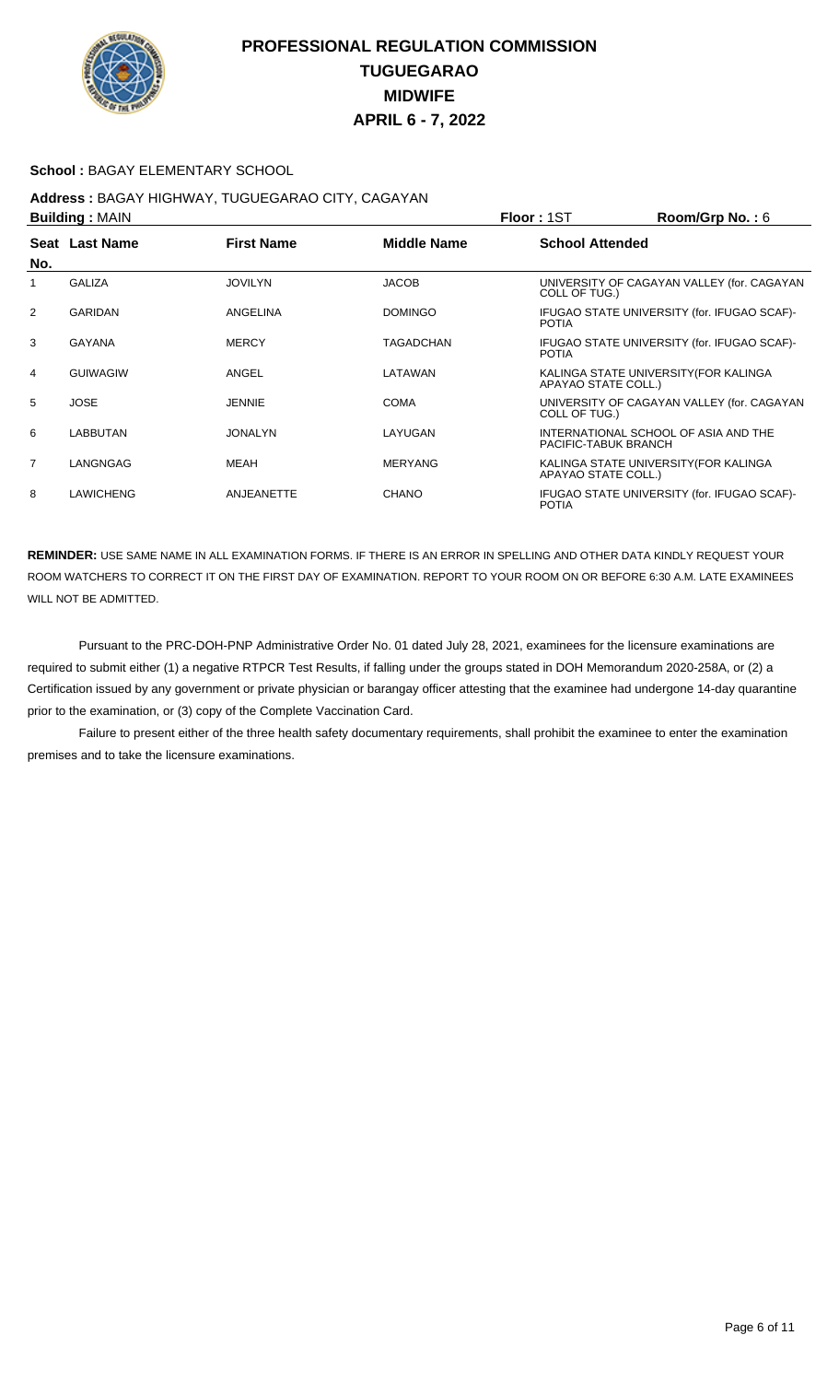

### **School :** BAGAY ELEMENTARY SCHOOL

#### **Address :** BAGAY HIGHWAY, TUGUEGARAO CITY, CAGAYAN **Building :** MAIN **Floor :** 1ST **Room/Grp No. :** 6

| P              |                  |                   |                    | 1 IUU 1 1 U 1<br>110011101111101110                          |
|----------------|------------------|-------------------|--------------------|--------------------------------------------------------------|
| No.            | Seat Last Name   | <b>First Name</b> | <b>Middle Name</b> | <b>School Attended</b>                                       |
|                | <b>GALIZA</b>    | <b>JOVILYN</b>    | <b>JACOB</b>       | UNIVERSITY OF CAGAYAN VALLEY (for. CAGAYAN<br>COLL OF TUG.)  |
| 2              | <b>GARIDAN</b>   | ANGELINA          | <b>DOMINGO</b>     | IFUGAO STATE UNIVERSITY (for. IFUGAO SCAF)-<br><b>POTIA</b>  |
| 3              | GAYANA           | <b>MERCY</b>      | <b>TAGADCHAN</b>   | IFUGAO STATE UNIVERSITY (for. IFUGAO SCAF)-<br><b>POTIA</b>  |
| $\overline{4}$ | <b>GUIWAGIW</b>  | ANGEL             | LATAWAN            | KALINGA STATE UNIVERSITY (FOR KALINGA<br>APAYAO STATE COLL.) |
| 5              | <b>JOSE</b>      | <b>JENNIE</b>     | <b>COMA</b>        | UNIVERSITY OF CAGAYAN VALLEY (for. CAGAYAN<br>COLL OF TUG.)  |
| 6              | LABBUTAN         | <b>JONALYN</b>    | LAYUGAN            | INTERNATIONAL SCHOOL OF ASIA AND THE<br>PACIFIC-TABUK BRANCH |
| $\overline{7}$ | LANGNGAG         | MEAH              | <b>MERYANG</b>     | KALINGA STATE UNIVERSITY (FOR KALINGA<br>APAYAO STATE COLL.) |
| 8              | <b>LAWICHENG</b> | <b>ANJEANETTE</b> | CHANO              | IFUGAO STATE UNIVERSITY (for. IFUGAO SCAF)-<br><b>POTIA</b>  |

**REMINDER:** USE SAME NAME IN ALL EXAMINATION FORMS. IF THERE IS AN ERROR IN SPELLING AND OTHER DATA KINDLY REQUEST YOUR ROOM WATCHERS TO CORRECT IT ON THE FIRST DAY OF EXAMINATION. REPORT TO YOUR ROOM ON OR BEFORE 6:30 A.M. LATE EXAMINEES WILL NOT BE ADMITTED.

 Pursuant to the PRC-DOH-PNP Administrative Order No. 01 dated July 28, 2021, examinees for the licensure examinations are required to submit either (1) a negative RTPCR Test Results, if falling under the groups stated in DOH Memorandum 2020-258A, or (2) a Certification issued by any government or private physician or barangay officer attesting that the examinee had undergone 14-day quarantine prior to the examination, or (3) copy of the Complete Vaccination Card.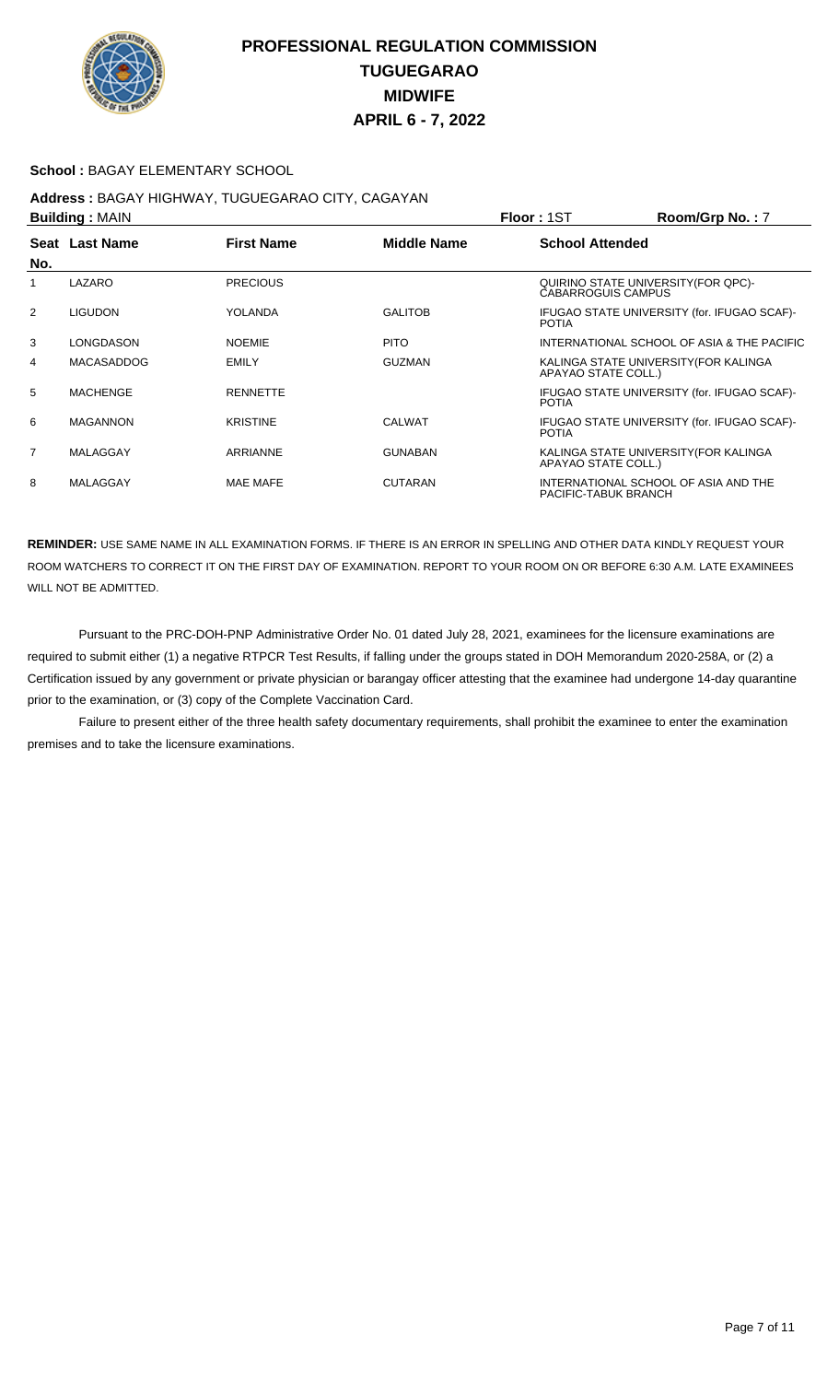

### **School :** BAGAY ELEMENTARY SCHOOL

# **Address :** BAGAY HIGHWAY, TUGUEGARAO CITY, CAGAYAN

|                | <b>Building: MAIN</b> |                   |                | <b>Floor: 1ST</b>         | Room/Grp No.: 7                             |
|----------------|-----------------------|-------------------|----------------|---------------------------|---------------------------------------------|
| No.            | Seat Last Name        | <b>First Name</b> | Middle Name    | <b>School Attended</b>    |                                             |
| 1              | LAZARO                | <b>PRECIOUS</b>   |                | <b>CABARROGUIS CAMPUS</b> | QUIRINO STATE UNIVERSITY (FOR QPC)-         |
| 2              | <b>LIGUDON</b>        | YOLANDA           | <b>GALITOB</b> | <b>POTIA</b>              | IFUGAO STATE UNIVERSITY (for. IFUGAO SCAF)- |
| 3              | LONGDASON             | <b>NOEMIE</b>     | <b>PITO</b>    |                           | INTERNATIONAL SCHOOL OF ASIA & THE PACIFIC  |
| 4              | <b>MACASADDOG</b>     | <b>EMILY</b>      | <b>GUZMAN</b>  | APAYAO STATE COLL.)       | KALINGA STATE UNIVERSITY (FOR KALINGA       |
| 5              | <b>MACHENGE</b>       | <b>RENNETTE</b>   |                | <b>POTIA</b>              | IFUGAO STATE UNIVERSITY (for. IFUGAO SCAF)- |
| 6              | <b>MAGANNON</b>       | <b>KRISTINE</b>   | <b>CALWAT</b>  | <b>POTIA</b>              | IFUGAO STATE UNIVERSITY (for. IFUGAO SCAF)- |
| $\overline{7}$ | MALAGGAY              | ARRIANNE          | <b>GUNABAN</b> | APAYAO STATE COLL.)       | KALINGA STATE UNIVERSITY(FOR KALINGA        |
| 8              | MALAGGAY              | <b>MAE MAFE</b>   | <b>CUTARAN</b> | PACIFIC-TABUK BRANCH      | INTERNATIONAL SCHOOL OF ASIA AND THE        |

**REMINDER:** USE SAME NAME IN ALL EXAMINATION FORMS. IF THERE IS AN ERROR IN SPELLING AND OTHER DATA KINDLY REQUEST YOUR ROOM WATCHERS TO CORRECT IT ON THE FIRST DAY OF EXAMINATION. REPORT TO YOUR ROOM ON OR BEFORE 6:30 A.M. LATE EXAMINEES WILL NOT BE ADMITTED.

 Pursuant to the PRC-DOH-PNP Administrative Order No. 01 dated July 28, 2021, examinees for the licensure examinations are required to submit either (1) a negative RTPCR Test Results, if falling under the groups stated in DOH Memorandum 2020-258A, or (2) a Certification issued by any government or private physician or barangay officer attesting that the examinee had undergone 14-day quarantine prior to the examination, or (3) copy of the Complete Vaccination Card.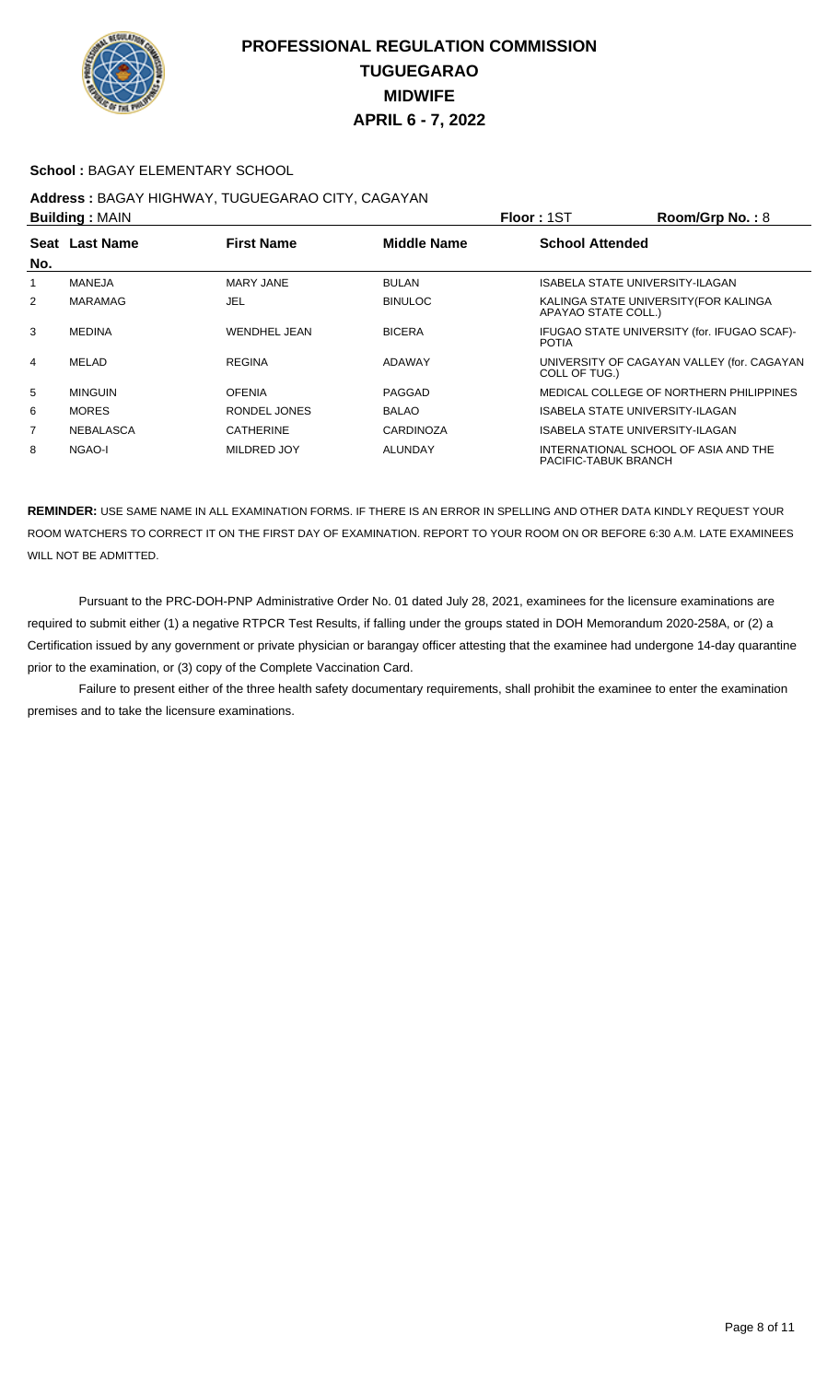

#### **School :** BAGAY ELEMENTARY SCHOOL

## **Address :** BAGAY HIGHWAY, TUGUEGARAO CITY, CAGAYAN

|                | <b>Building: MAIN</b>                                     |                  |                  | Floor: 1ST             | Room/Grp No.: 8                             |
|----------------|-----------------------------------------------------------|------------------|------------------|------------------------|---------------------------------------------|
|                | Seat Last Name<br><b>First Name</b><br><b>Middle Name</b> |                  |                  | <b>School Attended</b> |                                             |
| No.            |                                                           |                  |                  |                        |                                             |
| 1              | <b>MANEJA</b>                                             | MARY JANE        | <b>BULAN</b>     |                        | <b>ISABELA STATE UNIVERSITY-ILAGAN</b>      |
| 2              | MARAMAG                                                   | JEL              | <b>BINULOC</b>   | APAYAO STATE COLL.)    | KALINGA STATE UNIVERSITY (FOR KALINGA       |
| 3              | <b>MEDINA</b>                                             | WENDHEL JEAN     | <b>BICERA</b>    | <b>POTIA</b>           | IFUGAO STATE UNIVERSITY (for. IFUGAO SCAF)- |
| 4              | MELAD                                                     | <b>REGINA</b>    | ADAWAY           | COLL OF TUG.)          | UNIVERSITY OF CAGAYAN VALLEY (for. CAGAYAN  |
| 5              | <b>MINGUIN</b>                                            | <b>OFENIA</b>    | PAGGAD           |                        | MEDICAL COLLEGE OF NORTHERN PHILIPPINES     |
| 6              | <b>MORES</b>                                              | RONDEL JONES     | <b>BALAO</b>     |                        | ISABELA STATE UNIVERSITY-ILAGAN             |
| $\overline{7}$ | NEBALASCA                                                 | <b>CATHERINE</b> | <b>CARDINOZA</b> |                        | ISABELA STATE UNIVERSITY-ILAGAN             |
| 8              | NGAO-I                                                    | MILDRED JOY      | <b>ALUNDAY</b>   | PACIFIC-TABUK BRANCH   | INTERNATIONAL SCHOOL OF ASIA AND THE        |

**REMINDER:** USE SAME NAME IN ALL EXAMINATION FORMS. IF THERE IS AN ERROR IN SPELLING AND OTHER DATA KINDLY REQUEST YOUR ROOM WATCHERS TO CORRECT IT ON THE FIRST DAY OF EXAMINATION. REPORT TO YOUR ROOM ON OR BEFORE 6:30 A.M. LATE EXAMINEES WILL NOT BE ADMITTED.

 Pursuant to the PRC-DOH-PNP Administrative Order No. 01 dated July 28, 2021, examinees for the licensure examinations are required to submit either (1) a negative RTPCR Test Results, if falling under the groups stated in DOH Memorandum 2020-258A, or (2) a Certification issued by any government or private physician or barangay officer attesting that the examinee had undergone 14-day quarantine prior to the examination, or (3) copy of the Complete Vaccination Card.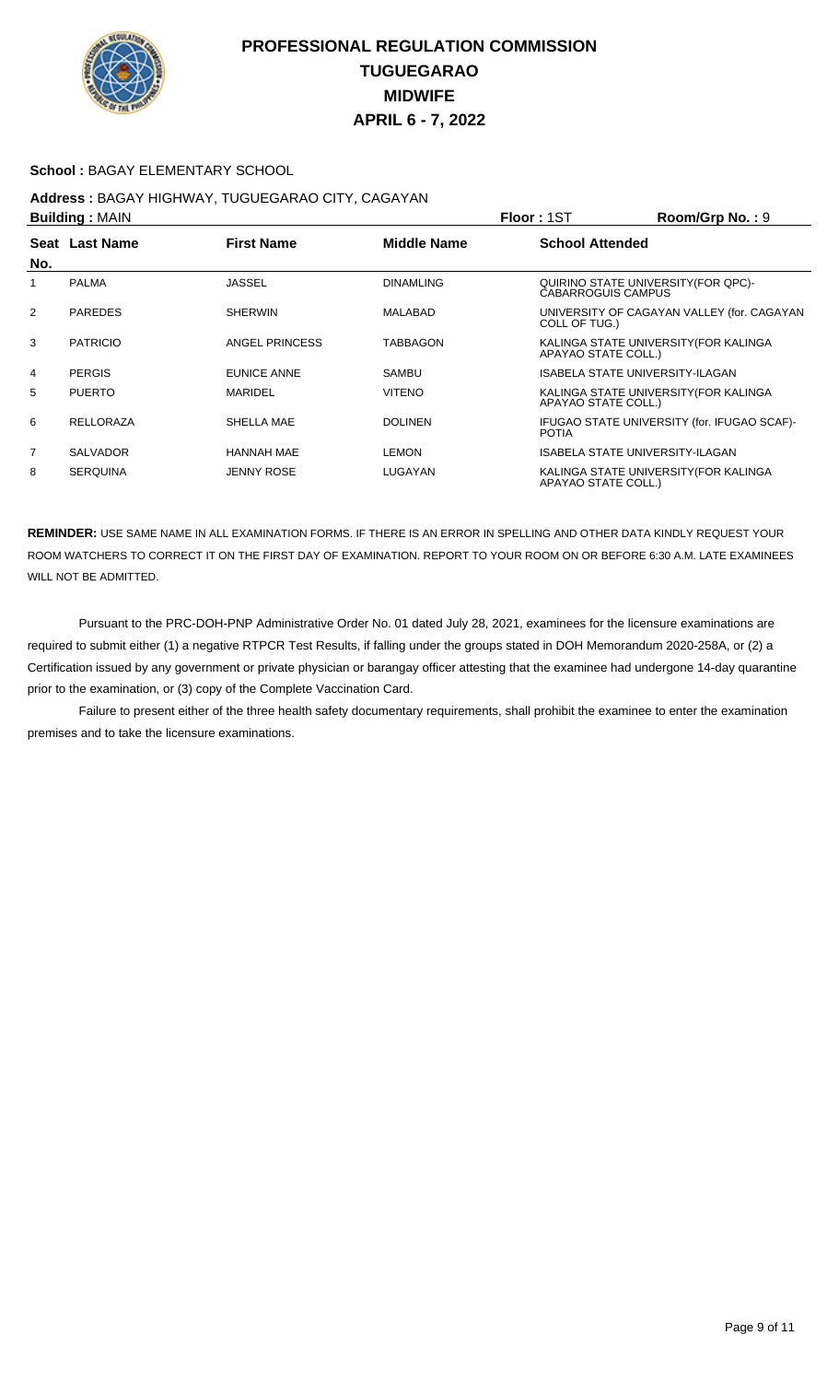

#### **School :** BAGAY ELEMENTARY SCHOOL

#### **Address :** BAGAY HIGHWAY, TUGUEGARAO CITY, CAGAYAN **Building :** MAIN **Floor :** 1ST **Room/Grp No. :** 9

| P              |                  |                   |                    | 1 IUU 1 1 U 1             | יטוועשוועט ווי $\mathbf{u}$ יי              |
|----------------|------------------|-------------------|--------------------|---------------------------|---------------------------------------------|
| No.            | Seat Last Name   | <b>First Name</b> | <b>Middle Name</b> | <b>School Attended</b>    |                                             |
|                | <b>PALMA</b>     | <b>JASSEL</b>     | <b>DINAMLING</b>   | <b>CABARROGUIS CAMPUS</b> | QUIRINO STATE UNIVERSITY (FOR QPC)-         |
| 2              | <b>PAREDES</b>   | <b>SHERWIN</b>    | MALABAD            | COLL OF TUG.)             | UNIVERSITY OF CAGAYAN VALLEY (for. CAGAYAN  |
| 3              | <b>PATRICIO</b>  | ANGEL PRINCESS    | <b>TABBAGON</b>    | APAYAO STATE COLL.)       | KALINGA STATE UNIVERSITY (FOR KALINGA       |
| 4              | <b>PERGIS</b>    | EUNICE ANNE       | <b>SAMBU</b>       |                           | <b>ISABELA STATE UNIVERSITY-ILAGAN</b>      |
| 5              | <b>PUERTO</b>    | MARIDEL           | <b>VITENO</b>      | APAYAO STATE COLL.)       | KALINGA STATE UNIVERSITY (FOR KALINGA       |
| 6              | <b>RELLORAZA</b> | SHELLA MAE        | <b>DOLINEN</b>     | <b>POTIA</b>              | IFUGAO STATE UNIVERSITY (for. IFUGAO SCAF)- |
| $\overline{7}$ | <b>SALVADOR</b>  | <b>HANNAH MAE</b> | <b>LEMON</b>       |                           | <b>ISABELA STATE UNIVERSITY-ILAGAN</b>      |
| 8              | <b>SERQUINA</b>  | <b>JENNY ROSE</b> | LUGAYAN            | APAYAO STATE COLL.)       | KALINGA STATE UNIVERSITY (FOR KALINGA       |

**REMINDER:** USE SAME NAME IN ALL EXAMINATION FORMS. IF THERE IS AN ERROR IN SPELLING AND OTHER DATA KINDLY REQUEST YOUR ROOM WATCHERS TO CORRECT IT ON THE FIRST DAY OF EXAMINATION. REPORT TO YOUR ROOM ON OR BEFORE 6:30 A.M. LATE EXAMINEES WILL NOT BE ADMITTED.

 Pursuant to the PRC-DOH-PNP Administrative Order No. 01 dated July 28, 2021, examinees for the licensure examinations are required to submit either (1) a negative RTPCR Test Results, if falling under the groups stated in DOH Memorandum 2020-258A, or (2) a Certification issued by any government or private physician or barangay officer attesting that the examinee had undergone 14-day quarantine prior to the examination, or (3) copy of the Complete Vaccination Card.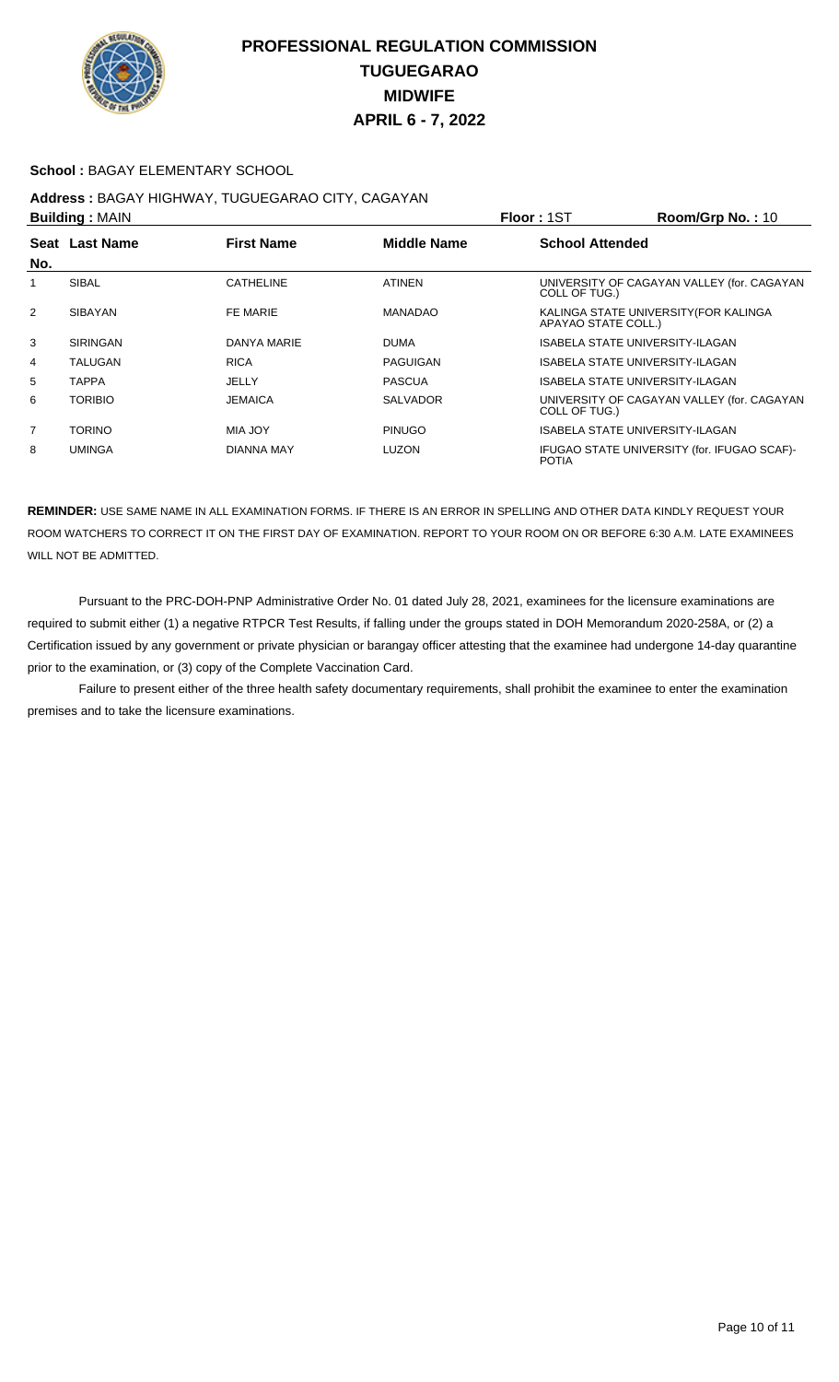

### **School :** BAGAY ELEMENTARY SCHOOL

#### **Address :** BAGAY HIGHWAY, TUGUEGARAO CITY, CAGAYAN **Building :** MAIN **Floor :** 1ST **Room/Grp No. :** 10

| <b>DUILUILLY</b> JUAILY |                 |                   | 1 IUU 1 1 J 1<br><b>NUUTTURE IV.</b> |                        |                                             |
|-------------------------|-----------------|-------------------|--------------------------------------|------------------------|---------------------------------------------|
| No.                     | Seat Last Name  | <b>First Name</b> | Middle Name                          | <b>School Attended</b> |                                             |
|                         | <b>SIBAL</b>    | <b>CATHELINE</b>  | <b>ATINEN</b>                        | COLL OF TUG.)          | UNIVERSITY OF CAGAYAN VALLEY (for. CAGAYAN  |
| 2                       | <b>SIBAYAN</b>  | FE MARIE          | <b>MANADAO</b>                       | APAYAO STATE COLL.)    | KALINGA STATE UNIVERSITY (FOR KALINGA       |
| 3                       | <b>SIRINGAN</b> | DANYA MARIE       | <b>DUMA</b>                          |                        | <b>ISABELA STATE UNIVERSITY-ILAGAN</b>      |
| 4                       | TALUGAN         | <b>RICA</b>       | <b>PAGUIGAN</b>                      |                        | ISABELA STATE UNIVERSITY-ILAGAN             |
| 5                       | TAPPA           | JELLY             | <b>PASCUA</b>                        |                        | <b>ISABELA STATE UNIVERSITY-ILAGAN</b>      |
| 6                       | <b>TORIBIO</b>  | <b>JEMAICA</b>    | <b>SALVADOR</b>                      | COLL OF TUG.)          | UNIVERSITY OF CAGAYAN VALLEY (for. CAGAYAN  |
| $\overline{7}$          | <b>TORINO</b>   | <b>MIA JOY</b>    | <b>PINUGO</b>                        |                        | ISABELA STATE UNIVERSITY-ILAGAN             |
| 8                       | <b>UMINGA</b>   | DIANNA MAY        | <b>LUZON</b>                         | <b>POTIA</b>           | IFUGAO STATE UNIVERSITY (for. IFUGAO SCAF)- |

**REMINDER:** USE SAME NAME IN ALL EXAMINATION FORMS. IF THERE IS AN ERROR IN SPELLING AND OTHER DATA KINDLY REQUEST YOUR ROOM WATCHERS TO CORRECT IT ON THE FIRST DAY OF EXAMINATION. REPORT TO YOUR ROOM ON OR BEFORE 6:30 A.M. LATE EXAMINEES WILL NOT BE ADMITTED.

 Pursuant to the PRC-DOH-PNP Administrative Order No. 01 dated July 28, 2021, examinees for the licensure examinations are required to submit either (1) a negative RTPCR Test Results, if falling under the groups stated in DOH Memorandum 2020-258A, or (2) a Certification issued by any government or private physician or barangay officer attesting that the examinee had undergone 14-day quarantine prior to the examination, or (3) copy of the Complete Vaccination Card.